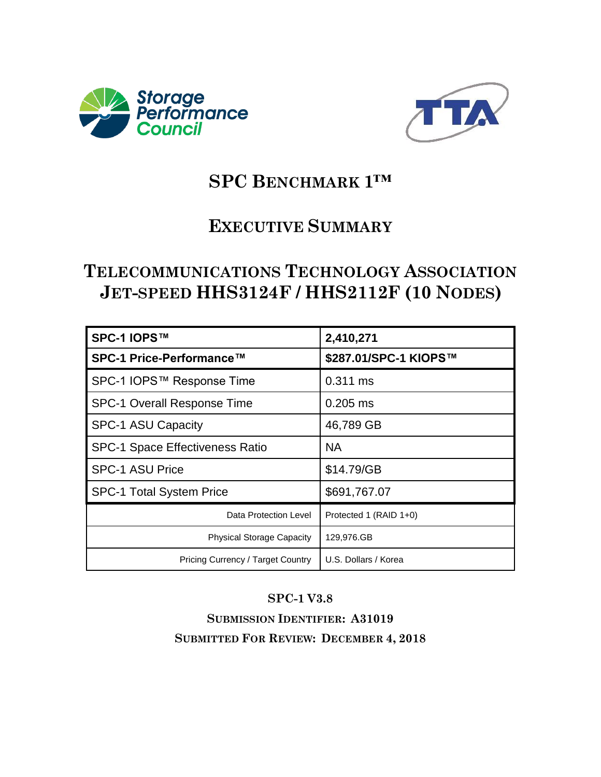



# **SPC BENCHMARK 1™**

# **EXECUTIVE SUMMARY**

# **TELECOMMUNICATIONS TECHNOLOGY ASSOCIATION JET-SPEED HHS3124F / HHS2112F (10 NODES)**

| SPC-1 IOPS™                            | 2,410,271              |
|----------------------------------------|------------------------|
| SPC-1 Price-Performance™               | \$287.01/SPC-1 KIOPS™  |
| SPC-1 IOPS™ Response Time              | 0.311 ms               |
| SPC-1 Overall Response Time            | $0.205$ ms             |
| SPC-1 ASU Capacity                     | 46,789 GB              |
| <b>SPC-1 Space Effectiveness Ratio</b> | NA.                    |
| <b>SPC-1 ASU Price</b>                 | \$14.79/GB             |
| <b>SPC-1 Total System Price</b>        | \$691,767.07           |
| Data Protection Level                  | Protected 1 (RAID 1+0) |
| <b>Physical Storage Capacity</b>       | 129,976.GB             |
| Pricing Currency / Target Country      | U.S. Dollars / Korea   |

#### **SPC-1 V3.8**

**SUBMISSION IDENTIFIER: A31019 SUBMITTED FOR REVIEW: DECEMBER 4, 2018**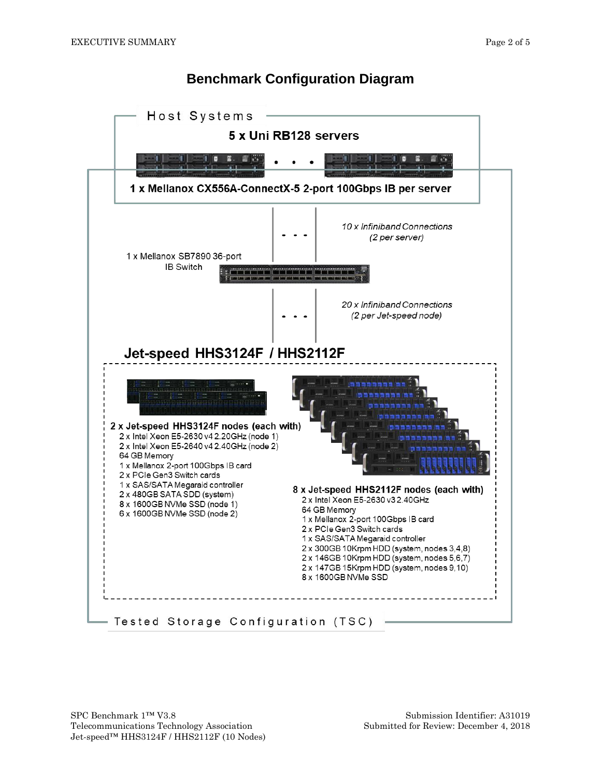#### **Benchmark Configuration Diagram**

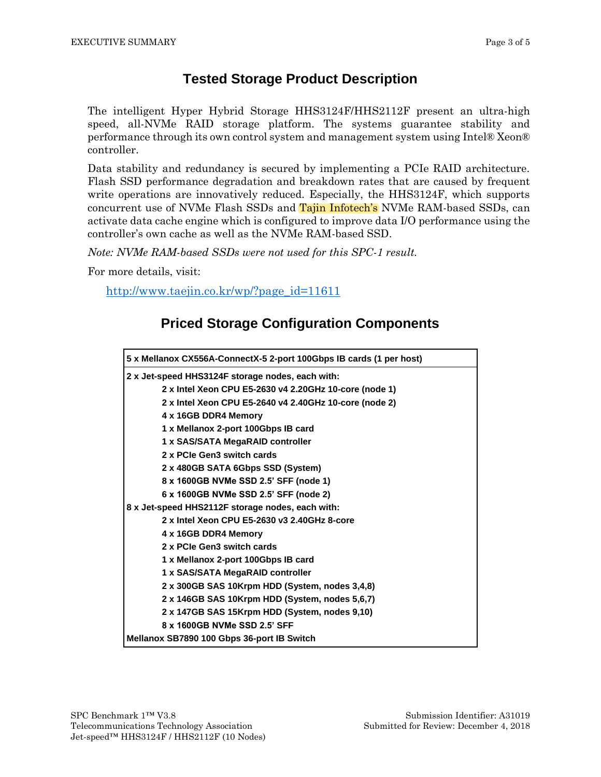#### **Tested Storage Product Description**

The intelligent Hyper Hybrid Storage HHS3124F/HHS2112F present an ultra-high speed, all-NVMe RAID storage platform. The systems guarantee stability and performance through its own control system and management system using Intel® Xeon® controller.

Data stability and redundancy is secured by implementing a PCIe RAID architecture. Flash SSD performance degradation and breakdown rates that are caused by frequent write operations are innovatively reduced. Especially, the HHS3124F, which supports concurrent use of NVMe Flash SSDs and Tajin Infotech's NVMe RAM-based SSDs, can activate data cache engine which is configured to improve data I/O performance using the controller's own cache as well as the NVMe RAM-based SSD.

*Note: NVMe RAM-based SSDs were not used for this SPC-1 result.*

For more details, visit:

[http://www.taejin.co.kr/wp/?page\\_id=11611](http://www.taejin.co.kr/wp/?page_id=11611)

### **Priced Storage Configuration Components**

| 5 x Mellanox CX556A-ConnectX-5 2-port 100Gbps IB cards (1 per host) |  |  |  |
|---------------------------------------------------------------------|--|--|--|
| 2 x Jet-speed HHS3124F storage nodes, each with:                    |  |  |  |
| 2 x Intel Xeon CPU E5-2630 v4 2.20GHz 10-core (node 1)              |  |  |  |
| 2 x Intel Xeon CPU E5-2640 v4 2.40GHz 10-core (node 2)              |  |  |  |
| 4 x 16GB DDR4 Memory                                                |  |  |  |
| 1 x Mellanox 2-port 100Gbps IB card                                 |  |  |  |
| 1 x SAS/SATA MegaRAID controller                                    |  |  |  |
| 2 x PCIe Gen3 switch cards                                          |  |  |  |
| 2 x 480GB SATA 6Gbps SSD (System)                                   |  |  |  |
| 8 x 1600GB NVMe SSD 2.5' SFF (node 1)                               |  |  |  |
| 6 x 1600GB NVMe SSD 2.5' SFF (node 2)                               |  |  |  |
| 8 x Jet-speed HHS2112F storage nodes, each with:                    |  |  |  |
| 2 x Intel Xeon CPU E5-2630 v3 2.40GHz 8-core                        |  |  |  |
| 4 x 16GB DDR4 Memory                                                |  |  |  |
| 2 x PCIe Gen3 switch cards                                          |  |  |  |
| 1 x Mellanox 2-port 100Gbps IB card                                 |  |  |  |
| 1 x SAS/SATA MegaRAID controller                                    |  |  |  |
| 2 x 300GB SAS 10Krpm HDD (System, nodes 3,4,8)                      |  |  |  |
| 2 x 146GB SAS 10Krpm HDD (System, nodes 5,6,7)                      |  |  |  |
| 2 x 147GB SAS 15Krpm HDD (System, nodes 9,10)                       |  |  |  |
| 8 x 1600GB NVMe SSD 2.5' SFF                                        |  |  |  |
| Mellanox SB7890 100 Gbps 36-port IB Switch                          |  |  |  |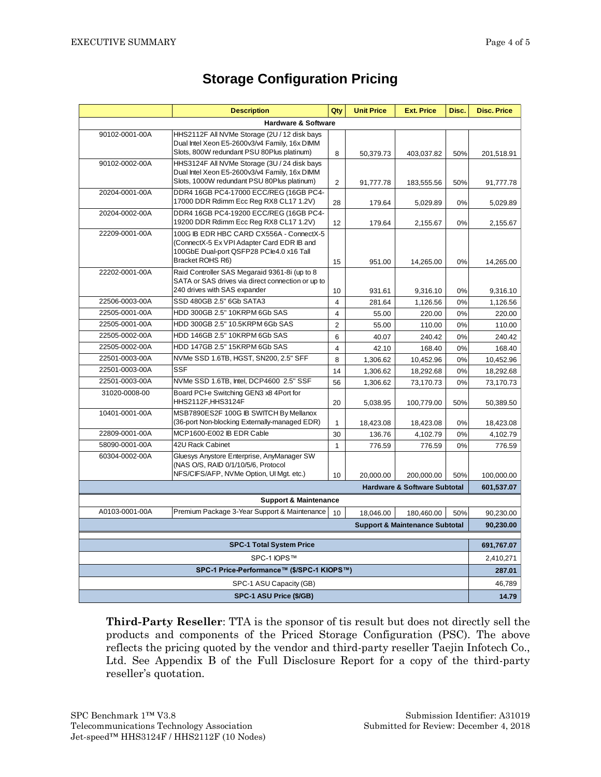|                                                                             | <b>Description</b>                                                                          | Qty            | <b>Unit Price</b> | <b>Ext. Price</b>                         | Disc.     | <b>Disc. Price</b>   |  |
|-----------------------------------------------------------------------------|---------------------------------------------------------------------------------------------|----------------|-------------------|-------------------------------------------|-----------|----------------------|--|
| <b>Hardware &amp; Software</b>                                              |                                                                                             |                |                   |                                           |           |                      |  |
| 90102-0001-00A                                                              | HHS2112F All NVMe Storage (2U / 12 disk bays                                                |                |                   |                                           |           |                      |  |
|                                                                             | Dual Intel Xeon E5-2600v3/v4 Family, 16x DIMM<br>Slots, 800W redundant PSU 80Plus platinum) | 8              |                   |                                           |           |                      |  |
| 90102-0002-00A                                                              | HHS3124F All NVMe Storage (3U / 24 disk bays                                                |                | 50,379.73         | 403,037.82                                | 50%       | 201,518.91           |  |
|                                                                             | Dual Intel Xeon E5-2600v3/v4 Family, 16x DIMM                                               |                |                   |                                           |           |                      |  |
|                                                                             | Slots, 1000W redundant PSU 80Plus platinum)                                                 | 2              | 91,777.78         | 183,555.56                                | 50%       | 91,777.78            |  |
| 20204-0001-00A                                                              | DDR4 16GB PC4-17000 ECC/REG (16GB PC4-                                                      |                |                   |                                           |           |                      |  |
|                                                                             | 17000 DDR Rdimm Ecc Reg RX8 CL17 1.2V)                                                      | 28             | 179.64            | 5,029.89                                  | 0%        | 5,029.89             |  |
| 20204-0002-00A                                                              | DDR4 16GB PC4-19200 ECC/REG (16GB PC4-<br>19200 DDR Rdimm Ecc Reg RX8 CL17 1.2V)            |                |                   |                                           |           |                      |  |
| 22209-0001-00A                                                              | 100G IB EDR HBC CARD CX556A - ConnectX-5                                                    | 12             | 179.64            | 2,155.67                                  | 0%        | 2,155.67             |  |
|                                                                             | (ConnectX-5 Ex VPI Adapter Card EDR IB and                                                  |                |                   |                                           |           |                      |  |
|                                                                             | 100GbE Dual-port QSFP28 PCle4.0 x16 Tall                                                    |                |                   |                                           |           |                      |  |
|                                                                             | Bracket ROHS R6)                                                                            | 15             | 951.00            | 14,265.00                                 | 0%        | 14,265.00            |  |
| 22202-0001-00A                                                              | Raid Controller SAS Megaraid 9361-8i (up to 8                                               |                |                   |                                           |           |                      |  |
|                                                                             | SATA or SAS drives via direct connection or up to<br>240 drives with SAS expander           | 10             | 931.61            |                                           | 0%        |                      |  |
| 22506-0003-00A                                                              | SSD 480GB 2.5" 6Gb SATA3                                                                    | $\overline{4}$ | 281.64            | 9,316.10<br>1,126.56                      | 0%        | 9,316.10<br>1,126.56 |  |
| 22505-0001-00A                                                              | HDD 300GB 2.5" 10KRPM 6Gb SAS                                                               | $\overline{4}$ | 55.00             | 220.00                                    | 0%        | 220.00               |  |
| 22505-0001-00A                                                              | HDD 300GB 2.5" 10.5KRPM 6Gb SAS                                                             | $\overline{2}$ | 55.00             | 110.00                                    | 0%        | 110.00               |  |
| 22505-0002-00A                                                              | HDD 146GB 2.5" 10KRPM 6Gb SAS                                                               | 6              | 40.07             | 240.42                                    | 0%        | 240.42               |  |
| 22505-0002-00A                                                              | HDD 147GB 2.5" 15KRPM 6Gb SAS                                                               | $\overline{4}$ | 42.10             | 168.40                                    | 0%        | 168.40               |  |
| 22501-0003-00A                                                              | NVMe SSD 1.6TB, HGST, SN200, 2.5" SFF                                                       | 8              | 1,306.62          | 10,452.96                                 | 0%        | 10,452.96            |  |
| 22501-0003-00A                                                              | <b>SSF</b>                                                                                  | 14             | 1,306.62          | 18,292.68                                 | 0%        | 18,292.68            |  |
| 22501-0003-00A                                                              | NVMe SSD 1.6TB, Intel, DCP4600 2.5" SSF                                                     | 56             | 1,306.62          | 73.170.73                                 | 0%        | 73,170.73            |  |
| 31020-0008-00                                                               | Board PCI-e Switching GEN3 x8 4Port for                                                     |                |                   |                                           |           |                      |  |
|                                                                             | HHS2112F, HHS3124F                                                                          | 20             | 5,038.95          | 100,779.00                                | 50%       | 50,389.50            |  |
| 10401-0001-00A                                                              | MSB7890ES2F 100G IB SWITCH By Mellanox                                                      |                |                   |                                           |           |                      |  |
|                                                                             | (36-port Non-blocking Externally-managed EDR)                                               | $\mathbf{1}$   | 18,423.08         | 18,423.08                                 | 0%        | 18,423.08            |  |
| 22809-0001-00A                                                              | MCP1600-E002 IB EDR Cable                                                                   | 30             | 136.76            | 4,102.79                                  | 0%        | 4,102.79             |  |
| 58090-0001-00A                                                              | 42U Rack Cabinet                                                                            | $\mathbf{1}$   | 776.59            | 776.59                                    | 0%        | 776.59               |  |
| 60304-0002-00A                                                              | Gluesys Anystore Enterprise, AnyManager SW<br>(NAS O/S, RAID 0/1/10/5/6, Protocol           |                |                   |                                           |           |                      |  |
|                                                                             | NFS/CIFS/AFP, NVMe Option, UI Mgt. etc.)                                                    | 10             | 20,000.00         | 200.000.00                                | 50%       | 100,000.00           |  |
|                                                                             |                                                                                             |                |                   |                                           |           | 601,537.07           |  |
| <b>Hardware &amp; Software Subtotal</b><br><b>Support &amp; Maintenance</b> |                                                                                             |                |                   |                                           |           |                      |  |
| A0103-0001-00A                                                              | Premium Package 3-Year Support & Maintenance                                                | 10             | 18,046.00         | 180,460.00                                | 50%       | 90,230.00            |  |
|                                                                             |                                                                                             |                |                   | <b>Support &amp; Maintenance Subtotal</b> |           | 90,230.00            |  |
|                                                                             |                                                                                             |                |                   |                                           |           |                      |  |
| <b>SPC-1 Total System Price</b>                                             |                                                                                             |                |                   |                                           |           | 691,767.07           |  |
| SPC-1 IOPS™                                                                 |                                                                                             |                |                   |                                           | 2,410,271 |                      |  |
| SPC-1 Price-Performance™ (\$/SPC-1 KIOPS™)                                  |                                                                                             |                |                   |                                           | 287.01    |                      |  |
| SPC-1 ASU Capacity (GB)                                                     |                                                                                             |                |                   |                                           | 46,789    |                      |  |
| SPC-1 ASU Price (\$/GB)                                                     |                                                                                             |                |                   |                                           | 14.79     |                      |  |

### **Storage Configuration Pricing**

**Third-Party Reseller**: TTA is the sponsor of tis result but does not directly sell the products and components of the Priced Storage Configuration (PSC). The above reflects the pricing quoted by the vendor and third-party reseller Taejin Infotech Co., Ltd. See Appendix B of the Full Disclosure Report for a copy of the third-party reseller's quotation.